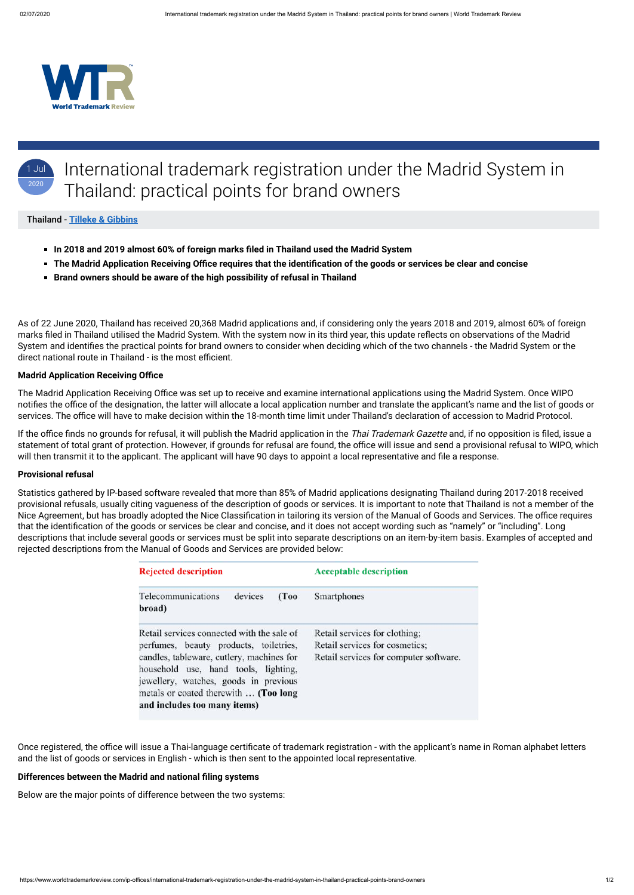

## 1 Jul 2020 International trademark registration under the Madrid System in Thailand: practical points for brand owners

## Thailand - **[Tilleke & Gibbins](https://www.worldtrademarkreview.com/Daily/Contributors#Thailand)**

- **In 2018 and 2019 almost 60% of foreign marks filed in Thailand used the Madrid System**
- **The Madrid Application Receiving Office requires that the identification of the goods or services be clear and concise**
- **Brand owners should be aware of the high possibility of refusal in Thailand**

As of 22 June 2020, Thailand has received 20,368 Madrid applications and, if considering only the years 2018 and 2019, almost 60% of foreign marks filed in Thailand utilised the Madrid System. With the system now in its third year, this update reflects on observations of the Madrid System and identifies the practical points for brand owners to consider when deciding which of the two channels - the Madrid System or the direct national route in Thailand - is the most efficient.

If the office finds no grounds for refusal, it will publish the Madrid application in the Thai Trademark Gazette and, if no opposition is filed, issue a statement of total grant of protection. However, if grounds for refusal are found, the office will issue and send a provisional refusal to WIPO, which will then transmit it to the applicant. The applicant will have 90 days to appoint a local representative and file a response.

#### **Madrid Application Receiving Office**

The Madrid Application Receiving Office was set up to receive and examine international applications using the Madrid System. Once WIPO notifies the office of the designation, the latter will allocate a local application number and translate the applicant's name and the list of goods or services. The office will have to make decision within the 18-month time limit under Thailand's declaration of accession to Madrid Protocol.

#### **Provisional refusal**

Statistics gathered by IP-based software revealed that more than 85% of Madrid applications designating Thailand during 2017-2018 received provisional refusals, usually citing vagueness of the description of goods or services. It is important to note that Thailand is not a member of the Nice Agreement, but has broadly adopted the Nice Classification in tailoring its version of the Manual of Goods and Services. The office requires that the identification of the goods or services be clear and concise, and it does not accept wording such as "namely" or "including". Long descriptions that include several goods or services must be split into separate descriptions on an item-by-item basis. Examples of accepted and rejected descriptions from the Manual of Goods and Services are provided below:

| <b>Rejected description</b>                                                                                                                                               | <b>Acceptable description</b>                                                                             |  |
|---------------------------------------------------------------------------------------------------------------------------------------------------------------------------|-----------------------------------------------------------------------------------------------------------|--|
| Telecommunications<br>devices<br>(Too<br>broad)                                                                                                                           | Smartphones                                                                                               |  |
| Retail services connected with the sale of<br>perfumes, beauty products, toiletries,<br>candles, tableware, cutlery, machines for<br>household use, hand tools, lighting, | Retail services for clothing;<br>Retail services for cosmetics;<br>Retail services for computer software. |  |

jewellery, watches, goods in previous metals or coated therewith ... (Too long and includes too many items)

Once registered, the office will issue a Thai-language certificate of trademark registration - with the applicant's name in Roman alphabet letters and the list of goods or services in English - which is then sent to the appointed local representative.

## **Differences between the Madrid and national filing systems**

Below are the major points of difference between the two systems: